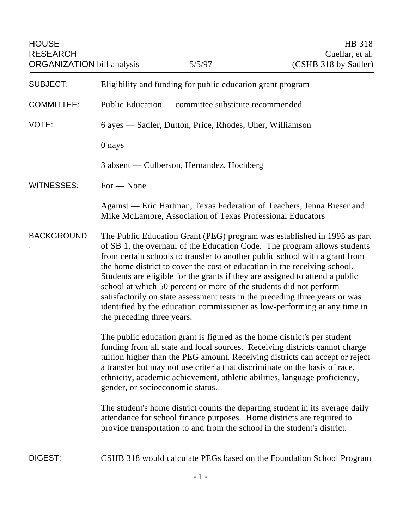| <b>HOUSE</b><br><b>RESEARCH</b><br><b>ORGANIZATION</b> bill analysis |                                                                                                                                                                                                                                                                                                                                                                                                                                                                                                                                                                                                                                                                   | 5/5/97                                                     | HB 318<br>Cuellar, et al.<br>(CSHB 318 by Sadler)                      |
|----------------------------------------------------------------------|-------------------------------------------------------------------------------------------------------------------------------------------------------------------------------------------------------------------------------------------------------------------------------------------------------------------------------------------------------------------------------------------------------------------------------------------------------------------------------------------------------------------------------------------------------------------------------------------------------------------------------------------------------------------|------------------------------------------------------------|------------------------------------------------------------------------|
| <b>SUBJECT:</b>                                                      | Eligibility and funding for public education grant program                                                                                                                                                                                                                                                                                                                                                                                                                                                                                                                                                                                                        |                                                            |                                                                        |
| <b>COMMITTEE:</b>                                                    | Public Education — committee substitute recommended                                                                                                                                                                                                                                                                                                                                                                                                                                                                                                                                                                                                               |                                                            |                                                                        |
| VOTE:                                                                | 6 ayes — Sadler, Dutton, Price, Rhodes, Uher, Williamson                                                                                                                                                                                                                                                                                                                                                                                                                                                                                                                                                                                                          |                                                            |                                                                        |
|                                                                      | 0 nays                                                                                                                                                                                                                                                                                                                                                                                                                                                                                                                                                                                                                                                            |                                                            |                                                                        |
|                                                                      | 3 absent — Culberson, Hernandez, Hochberg                                                                                                                                                                                                                                                                                                                                                                                                                                                                                                                                                                                                                         |                                                            |                                                                        |
| WITNESSES:                                                           | $For - None$                                                                                                                                                                                                                                                                                                                                                                                                                                                                                                                                                                                                                                                      |                                                            |                                                                        |
|                                                                      |                                                                                                                                                                                                                                                                                                                                                                                                                                                                                                                                                                                                                                                                   | Mike McLamore, Association of Texas Professional Educators | Against — Eric Hartman, Texas Federation of Teachers; Jenna Bieser and |
| <b>BACKGROUND</b>                                                    | The Public Education Grant (PEG) program was established in 1995 as part<br>of SB 1, the overhaul of the Education Code. The program allows students<br>from certain schools to transfer to another public school with a grant from<br>the home district to cover the cost of education in the receiving school.<br>Students are eligible for the grants if they are assigned to attend a public<br>school at which 50 percent or more of the students did not perform<br>satisfactorily on state assessment tests in the preceding three years or was<br>identified by the education commissioner as low-performing at any time in<br>the preceding three years. |                                                            |                                                                        |
|                                                                      | The public education grant is figured as the home district's per student<br>funding from all state and local sources. Receiving districts cannot charge<br>tuition higher than the PEG amount. Receiving districts can accept or reject<br>a transfer but may not use criteria that discriminate on the basis of race,<br>ethnicity, academic achievement, athletic abilities, language proficiency,<br>gender, or socioeconomic status.                                                                                                                                                                                                                          |                                                            |                                                                        |
|                                                                      | The student's home district counts the departing student in its average daily<br>attendance for school finance purposes. Home districts are required to<br>provide transportation to and from the school in the student's district.                                                                                                                                                                                                                                                                                                                                                                                                                               |                                                            |                                                                        |
| DIGEST:                                                              |                                                                                                                                                                                                                                                                                                                                                                                                                                                                                                                                                                                                                                                                   |                                                            | CSHB 318 would calculate PEGs based on the Foundation School Program   |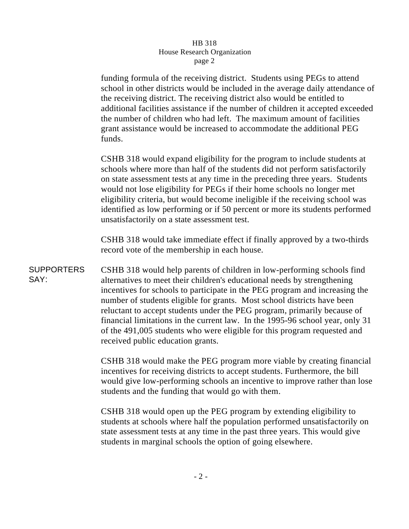## HB 318 House Research Organization page 2

funding formula of the receiving district. Students using PEGs to attend school in other districts would be included in the average daily attendance of the receiving district. The receiving district also would be entitled to additional facilities assistance if the number of children it accepted exceeded the number of children who had left. The maximum amount of facilities grant assistance would be increased to accommodate the additional PEG funds.

CSHB 318 would expand eligibility for the program to include students at schools where more than half of the students did not perform satisfactorily on state assessment tests at any time in the preceding three years. Students would not lose eligibility for PEGs if their home schools no longer met eligibility criteria, but would become ineligible if the receiving school was identified as low performing or if 50 percent or more its students performed unsatisfactorily on a state assessment test.

CSHB 318 would take immediate effect if finally approved by a two-thirds record vote of the membership in each house.

**SUPPORTERS** SAY: CSHB 318 would help parents of children in low-performing schools find alternatives to meet their children's educational needs by strengthening incentives for schools to participate in the PEG program and increasing the number of students eligible for grants. Most school districts have been reluctant to accept students under the PEG program, primarily because of financial limitations in the current law. In the 1995-96 school year, only 31 of the 491,005 students who were eligible for this program requested and received public education grants.

> CSHB 318 would make the PEG program more viable by creating financial incentives for receiving districts to accept students. Furthermore, the bill would give low-performing schools an incentive to improve rather than lose students and the funding that would go with them.

CSHB 318 would open up the PEG program by extending eligibility to students at schools where half the population performed unsatisfactorily on state assessment tests at any time in the past three years. This would give students in marginal schools the option of going elsewhere.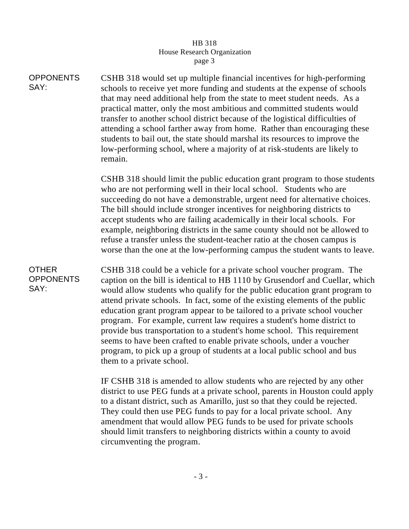## HB 318 House Research Organization page 3

**OPPONENTS** SAY: CSHB 318 would set up multiple financial incentives for high-performing schools to receive yet more funding and students at the expense of schools that may need additional help from the state to meet student needs. As a practical matter, only the most ambitious and committed students would transfer to another school district because of the logistical difficulties of attending a school farther away from home. Rather than encouraging these students to bail out, the state should marshal its resources to improve the low-performing school, where a majority of at risk-students are likely to remain.

> CSHB 318 should limit the public education grant program to those students who are not performing well in their local school. Students who are succeeding do not have a demonstrable, urgent need for alternative choices. The bill should include stronger incentives for neighboring districts to accept students who are failing academically in their local schools. For example, neighboring districts in the same county should not be allowed to refuse a transfer unless the student-teacher ratio at the chosen campus is worse than the one at the low-performing campus the student wants to leave.

## OTHER **OPPONENTS** SAY:

CSHB 318 could be a vehicle for a private school voucher program. The caption on the bill is identical to HB 1110 by Grusendorf and Cuellar, which would allow students who qualify for the public education grant program to attend private schools. In fact, some of the existing elements of the public education grant program appear to be tailored to a private school voucher program. For example, current law requires a student's home district to provide bus transportation to a student's home school. This requirement seems to have been crafted to enable private schools, under a voucher program, to pick up a group of students at a local public school and bus them to a private school.

IF CSHB 318 is amended to allow students who are rejected by any other district to use PEG funds at a private school, parents in Houston could apply to a distant district, such as Amarillo, just so that they could be rejected. They could then use PEG funds to pay for a local private school. Any amendment that would allow PEG funds to be used for private schools should limit transfers to neighboring districts within a county to avoid circumventing the program.